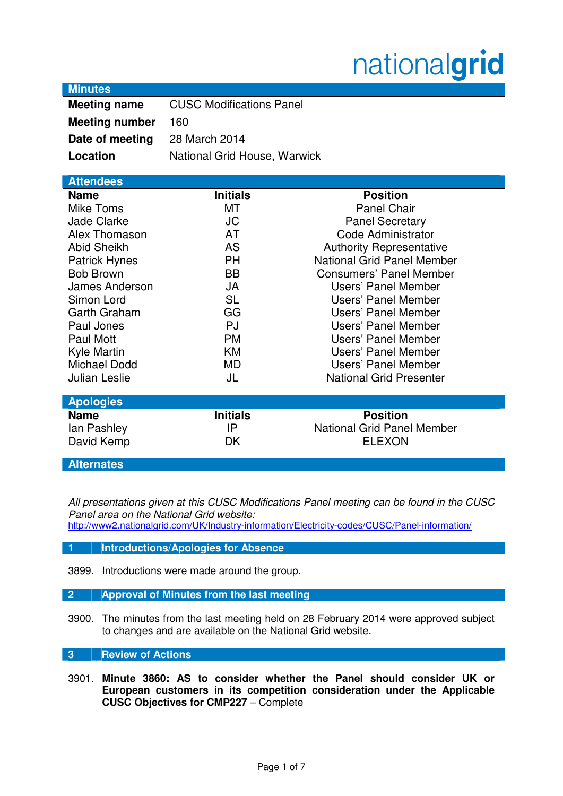# nationalgrid

| <b>Minutes</b> |  |
|----------------|--|
|                |  |

| <b>Meeting name</b>   | <b>CUSC Modifications Panel</b> |
|-----------------------|---------------------------------|
| <b>Meeting number</b> | 160                             |
| Date of meeting       | 28 March 2014                   |
| Location              | National Grid House, Warwick    |

| <b>Attendees</b>     |                 |                                   |
|----------------------|-----------------|-----------------------------------|
| <b>Name</b>          | <b>Initials</b> | <b>Position</b>                   |
| Mike Toms            | MT              | <b>Panel Chair</b>                |
| <b>Jade Clarke</b>   | <b>JC</b>       | <b>Panel Secretary</b>            |
| Alex Thomason        | <b>AT</b>       | Code Administrator                |
| <b>Abid Sheikh</b>   | <b>AS</b>       | <b>Authority Representative</b>   |
| <b>Patrick Hynes</b> | <b>PH</b>       | <b>National Grid Panel Member</b> |
| <b>Bob Brown</b>     | <b>BB</b>       | <b>Consumers' Panel Member</b>    |
| James Anderson       | JA              | Users' Panel Member               |
| Simon Lord           | <b>SL</b>       | Users' Panel Member               |
| Garth Graham         | GG              | Users' Panel Member               |
| Paul Jones           | <b>PJ</b>       | Users' Panel Member               |
| Paul Mott            | <b>PM</b>       | <b>Users' Panel Member</b>        |
| Kyle Martin          | <b>KM</b>       | Users' Panel Member               |
| <b>Michael Dodd</b>  | <b>MD</b>       | Users' Panel Member               |
| <b>Julian Leslie</b> | JL              | <b>National Grid Presenter</b>    |
| <b>Apologies</b>     |                 |                                   |
| <b>Name</b>          | <b>Initials</b> | <b>Position</b>                   |
| lan Pashley          | IP              | <b>National Grid Panel Member</b> |
| David Kemp           | DK              | <b>ELEXON</b>                     |
| <b>Alternates</b>    |                 |                                   |

All presentations given at this CUSC Modifications Panel meeting can be found in the CUSC Panel area on the National Grid website:

http://www2.nationalgrid.com/UK/Industry-information/Electricity-codes/CUSC/Panel-information/

# **1 Introductions/Apologies for Absence**

3899. Introductions were made around the group.

# **2 Approval of Minutes from the last meeting**

3900. The minutes from the last meeting held on 28 February 2014 were approved subject to changes and are available on the National Grid website.

## **3 Review of Actions**

3901. **Minute 3860: AS to consider whether the Panel should consider UK or European customers in its competition consideration under the Applicable CUSC Objectives for CMP227** – Complete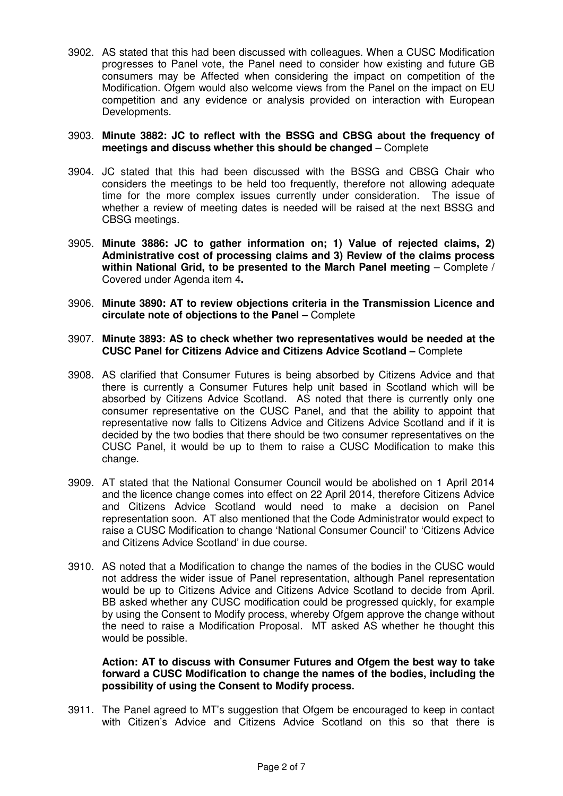3902. AS stated that this had been discussed with colleagues. When a CUSC Modification progresses to Panel vote, the Panel need to consider how existing and future GB consumers may be Affected when considering the impact on competition of the Modification. Ofgem would also welcome views from the Panel on the impact on EU competition and any evidence or analysis provided on interaction with European Developments.

## 3903. **Minute 3882: JC to reflect with the BSSG and CBSG about the frequency of meetings and discuss whether this should be changed** – Complete

- 3904. JC stated that this had been discussed with the BSSG and CBSG Chair who considers the meetings to be held too frequently, therefore not allowing adequate time for the more complex issues currently under consideration. The issue of whether a review of meeting dates is needed will be raised at the next BSSG and CBSG meetings.
- 3905. **Minute 3886: JC to gather information on; 1) Value of rejected claims, 2) Administrative cost of processing claims and 3) Review of the claims process within National Grid, to be presented to the March Panel meeting** – Complete / Covered under Agenda item 4**.**
- 3906. **Minute 3890: AT to review objections criteria in the Transmission Licence and circulate note of objections to the Panel –** Complete
- 3907. **Minute 3893: AS to check whether two representatives would be needed at the CUSC Panel for Citizens Advice and Citizens Advice Scotland –** Complete
- 3908. AS clarified that Consumer Futures is being absorbed by Citizens Advice and that there is currently a Consumer Futures help unit based in Scotland which will be absorbed by Citizens Advice Scotland. AS noted that there is currently only one consumer representative on the CUSC Panel, and that the ability to appoint that representative now falls to Citizens Advice and Citizens Advice Scotland and if it is decided by the two bodies that there should be two consumer representatives on the CUSC Panel, it would be up to them to raise a CUSC Modification to make this change.
- 3909. AT stated that the National Consumer Council would be abolished on 1 April 2014 and the licence change comes into effect on 22 April 2014, therefore Citizens Advice and Citizens Advice Scotland would need to make a decision on Panel representation soon. AT also mentioned that the Code Administrator would expect to raise a CUSC Modification to change 'National Consumer Council' to 'Citizens Advice and Citizens Advice Scotland' in due course.
- 3910. AS noted that a Modification to change the names of the bodies in the CUSC would not address the wider issue of Panel representation, although Panel representation would be up to Citizens Advice and Citizens Advice Scotland to decide from April. BB asked whether any CUSC modification could be progressed quickly, for example by using the Consent to Modify process, whereby Ofgem approve the change without the need to raise a Modification Proposal. MT asked AS whether he thought this would be possible.

## **Action: AT to discuss with Consumer Futures and Ofgem the best way to take forward a CUSC Modification to change the names of the bodies, including the possibility of using the Consent to Modify process.**

3911. The Panel agreed to MT's suggestion that Ofgem be encouraged to keep in contact with Citizen's Advice and Citizens Advice Scotland on this so that there is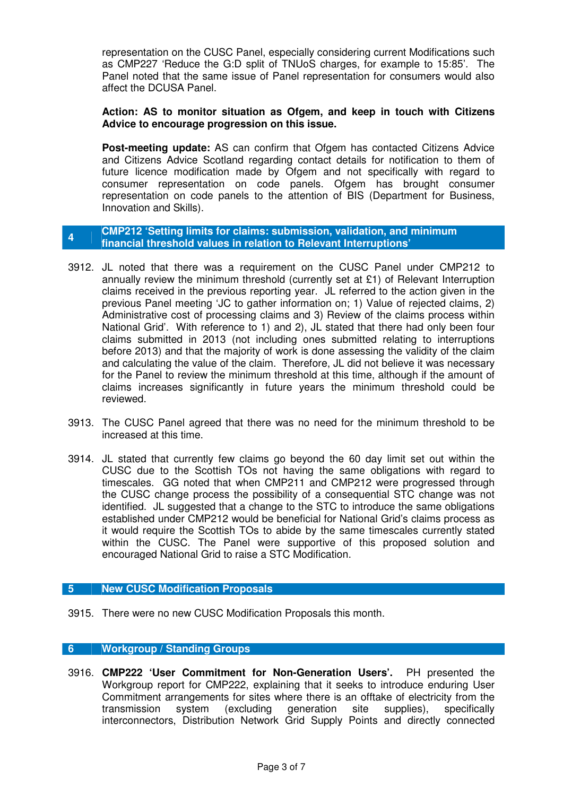representation on the CUSC Panel, especially considering current Modifications such as CMP227 'Reduce the G:D split of TNUoS charges, for example to 15:85'. The Panel noted that the same issue of Panel representation for consumers would also affect the DCUSA Panel.

## **Action: AS to monitor situation as Ofgem, and keep in touch with Citizens Advice to encourage progression on this issue.**

**Post-meeting update:** AS can confirm that Ofgem has contacted Citizens Advice and Citizens Advice Scotland regarding contact details for notification to them of future licence modification made by Ofgem and not specifically with regard to consumer representation on code panels. Ofgem has brought consumer representation on code panels to the attention of BIS (Department for Business, Innovation and Skills).

### **<sup>4</sup>CMP212 'Setting limits for claims: submission, validation, and minimum financial threshold values in relation to Relevant Interruptions'**

- 3912. JL noted that there was a requirement on the CUSC Panel under CMP212 to annually review the minimum threshold (currently set at £1) of Relevant Interruption claims received in the previous reporting year. JL referred to the action given in the previous Panel meeting 'JC to gather information on; 1) Value of rejected claims, 2) Administrative cost of processing claims and 3) Review of the claims process within National Grid'. With reference to 1) and 2), JL stated that there had only been four claims submitted in 2013 (not including ones submitted relating to interruptions before 2013) and that the majority of work is done assessing the validity of the claim and calculating the value of the claim. Therefore, JL did not believe it was necessary for the Panel to review the minimum threshold at this time, although if the amount of claims increases significantly in future years the minimum threshold could be reviewed.
- 3913. The CUSC Panel agreed that there was no need for the minimum threshold to be increased at this time.
- 3914. JL stated that currently few claims go beyond the 60 day limit set out within the CUSC due to the Scottish TOs not having the same obligations with regard to timescales. GG noted that when CMP211 and CMP212 were progressed through the CUSC change process the possibility of a consequential STC change was not identified. JL suggested that a change to the STC to introduce the same obligations established under CMP212 would be beneficial for National Grid's claims process as it would require the Scottish TOs to abide by the same timescales currently stated within the CUSC. The Panel were supportive of this proposed solution and encouraged National Grid to raise a STC Modification.

# **5 New CUSC Modification Proposals**

3915. There were no new CUSC Modification Proposals this month.

# **6 Workgroup / Standing Groups**

3916. **CMP222 'User Commitment for Non-Generation Users'.** PH presented the Workgroup report for CMP222, explaining that it seeks to introduce enduring User Commitment arrangements for sites where there is an offtake of electricity from the transmission system (excluding generation site supplies), specifically interconnectors, Distribution Network Grid Supply Points and directly connected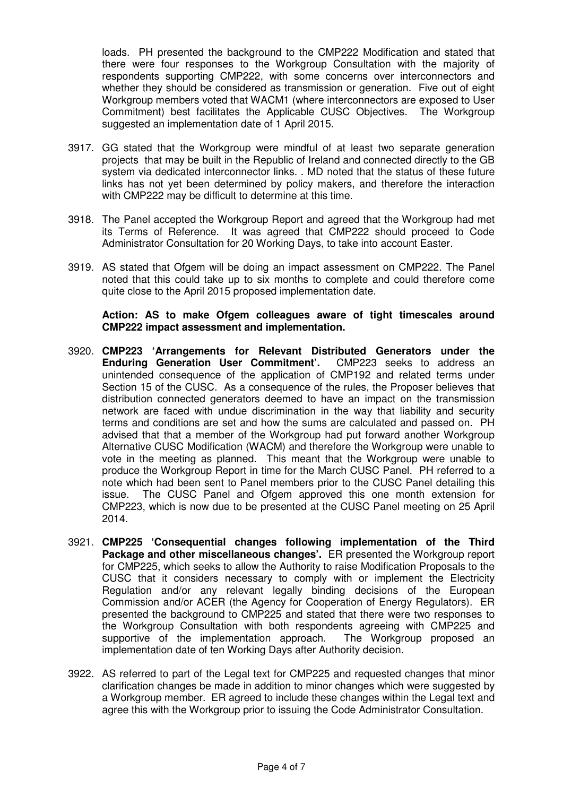loads. PH presented the background to the CMP222 Modification and stated that there were four responses to the Workgroup Consultation with the majority of respondents supporting CMP222, with some concerns over interconnectors and whether they should be considered as transmission or generation. Five out of eight Workgroup members voted that WACM1 (where interconnectors are exposed to User Commitment) best facilitates the Applicable CUSC Objectives. The Workgroup suggested an implementation date of 1 April 2015.

- 3917. GG stated that the Workgroup were mindful of at least two separate generation projects that may be built in the Republic of Ireland and connected directly to the GB system via dedicated interconnector links. . MD noted that the status of these future links has not yet been determined by policy makers, and therefore the interaction with CMP222 may be difficult to determine at this time.
- 3918. The Panel accepted the Workgroup Report and agreed that the Workgroup had met its Terms of Reference. It was agreed that CMP222 should proceed to Code Administrator Consultation for 20 Working Days, to take into account Easter.
- 3919. AS stated that Ofgem will be doing an impact assessment on CMP222. The Panel noted that this could take up to six months to complete and could therefore come quite close to the April 2015 proposed implementation date.

**Action: AS to make Ofgem colleagues aware of tight timescales around CMP222 impact assessment and implementation.** 

- 3920. **CMP223 'Arrangements for Relevant Distributed Generators under the Enduring Generation User Commitment'.** CMP223 seeks to address an unintended consequence of the application of CMP192 and related terms under Section 15 of the CUSC. As a consequence of the rules, the Proposer believes that distribution connected generators deemed to have an impact on the transmission network are faced with undue discrimination in the way that liability and security terms and conditions are set and how the sums are calculated and passed on. PH advised that that a member of the Workgroup had put forward another Workgroup Alternative CUSC Modification (WACM) and therefore the Workgroup were unable to vote in the meeting as planned. This meant that the Workgroup were unable to produce the Workgroup Report in time for the March CUSC Panel. PH referred to a note which had been sent to Panel members prior to the CUSC Panel detailing this issue. The CUSC Panel and Ofgem approved this one month extension for CMP223, which is now due to be presented at the CUSC Panel meeting on 25 April 2014.
- 3921. **CMP225 'Consequential changes following implementation of the Third Package and other miscellaneous changes'.** ER presented the Workgroup report for CMP225, which seeks to allow the Authority to raise Modification Proposals to the CUSC that it considers necessary to comply with or implement the Electricity Regulation and/or any relevant legally binding decisions of the European Commission and/or ACER (the Agency for Cooperation of Energy Regulators). ER presented the background to CMP225 and stated that there were two responses to the Workgroup Consultation with both respondents agreeing with CMP225 and supportive of the implementation approach. The Workgroup proposed an implementation date of ten Working Days after Authority decision.
- 3922. AS referred to part of the Legal text for CMP225 and requested changes that minor clarification changes be made in addition to minor changes which were suggested by a Workgroup member. ER agreed to include these changes within the Legal text and agree this with the Workgroup prior to issuing the Code Administrator Consultation.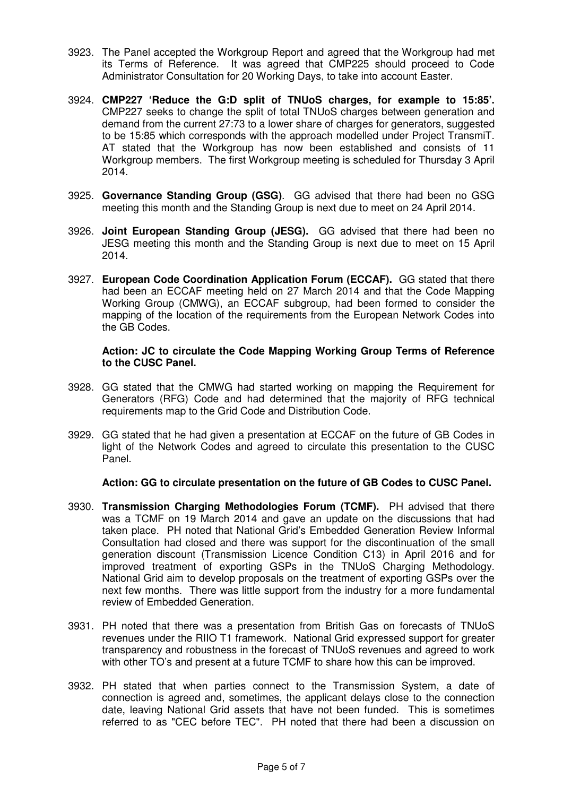- 3923. The Panel accepted the Workgroup Report and agreed that the Workgroup had met its Terms of Reference. It was agreed that CMP225 should proceed to Code Administrator Consultation for 20 Working Days, to take into account Easter.
- 3924. **CMP227 'Reduce the G:D split of TNUoS charges, for example to 15:85'.**  CMP227 seeks to change the split of total TNUoS charges between generation and demand from the current 27:73 to a lower share of charges for generators, suggested to be 15:85 which corresponds with the approach modelled under Project TransmiT. AT stated that the Workgroup has now been established and consists of 11 Workgroup members. The first Workgroup meeting is scheduled for Thursday 3 April 2014.
- 3925. **Governance Standing Group (GSG)**. GG advised that there had been no GSG meeting this month and the Standing Group is next due to meet on 24 April 2014.
- 3926. **Joint European Standing Group (JESG).** GG advised that there had been no JESG meeting this month and the Standing Group is next due to meet on 15 April 2014.
- 3927. **European Code Coordination Application Forum (ECCAF).** GG stated that there had been an ECCAF meeting held on 27 March 2014 and that the Code Mapping Working Group (CMWG), an ECCAF subgroup, had been formed to consider the mapping of the location of the requirements from the European Network Codes into the GB Codes.

### **Action: JC to circulate the Code Mapping Working Group Terms of Reference to the CUSC Panel.**

- 3928. GG stated that the CMWG had started working on mapping the Requirement for Generators (RFG) Code and had determined that the majority of RFG technical requirements map to the Grid Code and Distribution Code.
- 3929. GG stated that he had given a presentation at ECCAF on the future of GB Codes in light of the Network Codes and agreed to circulate this presentation to the CUSC Panel.

# **Action: GG to circulate presentation on the future of GB Codes to CUSC Panel.**

- 3930. **Transmission Charging Methodologies Forum (TCMF).** PH advised that there was a TCMF on 19 March 2014 and gave an update on the discussions that had taken place. PH noted that National Grid's Embedded Generation Review Informal Consultation had closed and there was support for the discontinuation of the small generation discount (Transmission Licence Condition C13) in April 2016 and for improved treatment of exporting GSPs in the TNUoS Charging Methodology. National Grid aim to develop proposals on the treatment of exporting GSPs over the next few months. There was little support from the industry for a more fundamental review of Embedded Generation.
- 3931. PH noted that there was a presentation from British Gas on forecasts of TNUoS revenues under the RIIO T1 framework. National Grid expressed support for greater transparency and robustness in the forecast of TNUoS revenues and agreed to work with other TO's and present at a future TCMF to share how this can be improved.
- 3932. PH stated that when parties connect to the Transmission System, a date of connection is agreed and, sometimes, the applicant delays close to the connection date, leaving National Grid assets that have not been funded. This is sometimes referred to as "CEC before TEC". PH noted that there had been a discussion on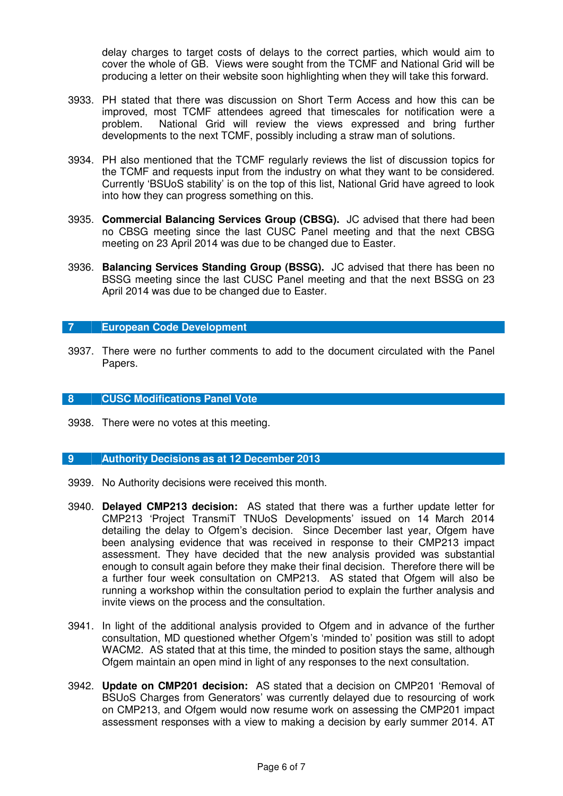delay charges to target costs of delays to the correct parties, which would aim to cover the whole of GB. Views were sought from the TCMF and National Grid will be producing a letter on their website soon highlighting when they will take this forward.

- 3933. PH stated that there was discussion on Short Term Access and how this can be improved, most TCMF attendees agreed that timescales for notification were a problem. National Grid will review the views expressed and bring further developments to the next TCMF, possibly including a straw man of solutions.
- 3934. PH also mentioned that the TCMF regularly reviews the list of discussion topics for the TCMF and requests input from the industry on what they want to be considered. Currently 'BSUoS stability' is on the top of this list, National Grid have agreed to look into how they can progress something on this.
- 3935. **Commercial Balancing Services Group (CBSG).** JC advised that there had been no CBSG meeting since the last CUSC Panel meeting and that the next CBSG meeting on 23 April 2014 was due to be changed due to Easter.
- 3936. **Balancing Services Standing Group (BSSG).** JC advised that there has been no BSSG meeting since the last CUSC Panel meeting and that the next BSSG on 23 April 2014 was due to be changed due to Easter.

# **7 European Code Development**

3937. There were no further comments to add to the document circulated with the Panel Papers.

#### **8 CUSC Modifications Panel Vote**

3938. There were no votes at this meeting.

#### **9 Authority Decisions as at 12 December 2013**

- 3939. No Authority decisions were received this month.
- 3940. **Delayed CMP213 decision:** AS stated that there was a further update letter for CMP213 'Project TransmiT TNUoS Developments' issued on 14 March 2014 detailing the delay to Ofgem's decision. Since December last year, Ofgem have been analysing evidence that was received in response to their CMP213 impact assessment. They have decided that the new analysis provided was substantial enough to consult again before they make their final decision. Therefore there will be a further four week consultation on CMP213. AS stated that Ofgem will also be running a workshop within the consultation period to explain the further analysis and invite views on the process and the consultation.
- 3941. In light of the additional analysis provided to Ofgem and in advance of the further consultation, MD questioned whether Ofgem's 'minded to' position was still to adopt WACM2. AS stated that at this time, the minded to position stays the same, although Ofgem maintain an open mind in light of any responses to the next consultation.
- 3942. **Update on CMP201 decision:** AS stated that a decision on CMP201 'Removal of BSUoS Charges from Generators' was currently delayed due to resourcing of work on CMP213, and Ofgem would now resume work on assessing the CMP201 impact assessment responses with a view to making a decision by early summer 2014. AT